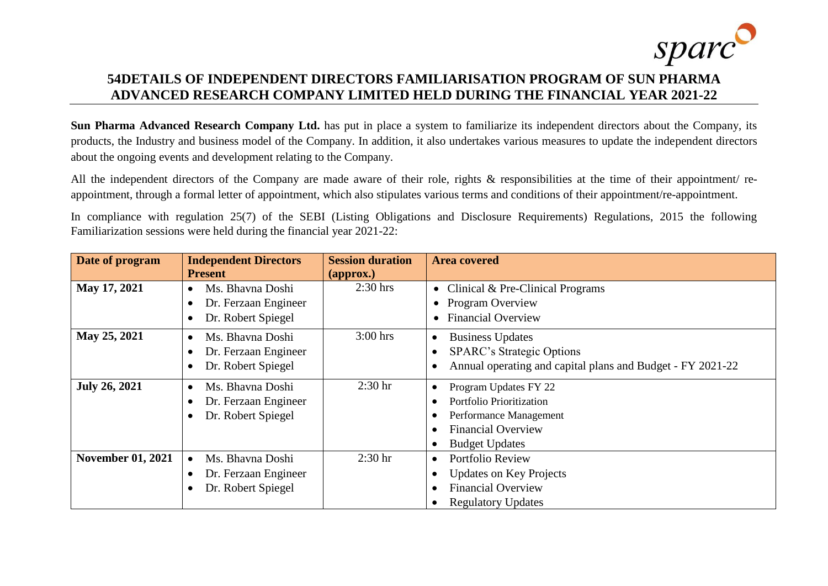

## **54DETAILS OF INDEPENDENT DIRECTORS FAMILIARISATION PROGRAM OF SUN PHARMA ADVANCED RESEARCH COMPANY LIMITED HELD DURING THE FINANCIAL YEAR 2021-22**

**Sun Pharma Advanced Research Company Ltd.** has put in place a system to familiarize its independent directors about the Company, its products, the Industry and business model of the Company. In addition, it also undertakes various measures to update the independent directors about the ongoing events and development relating to the Company.

All the independent directors of the Company are made aware of their role, rights & responsibilities at the time of their appointment/ reappointment, through a formal letter of appointment, which also stipulates various terms and conditions of their appointment/re-appointment.

In compliance with regulation 25(7) of the SEBI (Listing Obligations and Disclosure Requirements) Regulations, 2015 the following Familiarization sessions were held during the financial year 2021-22:

| Date of program          | <b>Independent Directors</b>  | <b>Session duration</b>       | <b>Area covered</b>                                        |  |  |  |
|--------------------------|-------------------------------|-------------------------------|------------------------------------------------------------|--|--|--|
|                          | <b>Present</b>                | $\left(\text{approx.}\right)$ |                                                            |  |  |  |
| May 17, 2021             | Ms. Bhavna Doshi              | $2:30$ hrs                    | • Clinical & Pre-Clinical Programs                         |  |  |  |
|                          | Dr. Ferzaan Engineer          |                               | Program Overview                                           |  |  |  |
|                          | Dr. Robert Spiegel            |                               | <b>Financial Overview</b>                                  |  |  |  |
| May 25, 2021             | Ms. Bhavna Doshi<br>$\bullet$ | $3:00$ hrs                    | <b>Business Updates</b>                                    |  |  |  |
|                          | Dr. Ferzaan Engineer          |                               | <b>SPARC's Strategic Options</b>                           |  |  |  |
|                          | Dr. Robert Spiegel            |                               | Annual operating and capital plans and Budget - FY 2021-22 |  |  |  |
| <b>July 26, 2021</b>     | Ms. Bhavna Doshi              | $2:30$ hr                     | Program Updates FY 22                                      |  |  |  |
|                          | Dr. Ferzaan Engineer          |                               | Portfolio Prioritization                                   |  |  |  |
|                          | Dr. Robert Spiegel            |                               | Performance Management                                     |  |  |  |
|                          |                               |                               | <b>Financial Overview</b>                                  |  |  |  |
|                          |                               |                               | <b>Budget Updates</b>                                      |  |  |  |
| <b>November 01, 2021</b> | Ms. Bhavna Doshi              | $2:30$ hr                     | Portfolio Review<br>$\bullet$                              |  |  |  |
|                          | Dr. Ferzaan Engineer          |                               | <b>Updates on Key Projects</b>                             |  |  |  |
|                          | Dr. Robert Spiegel            |                               | <b>Financial Overview</b>                                  |  |  |  |
|                          |                               |                               | <b>Regulatory Updates</b>                                  |  |  |  |